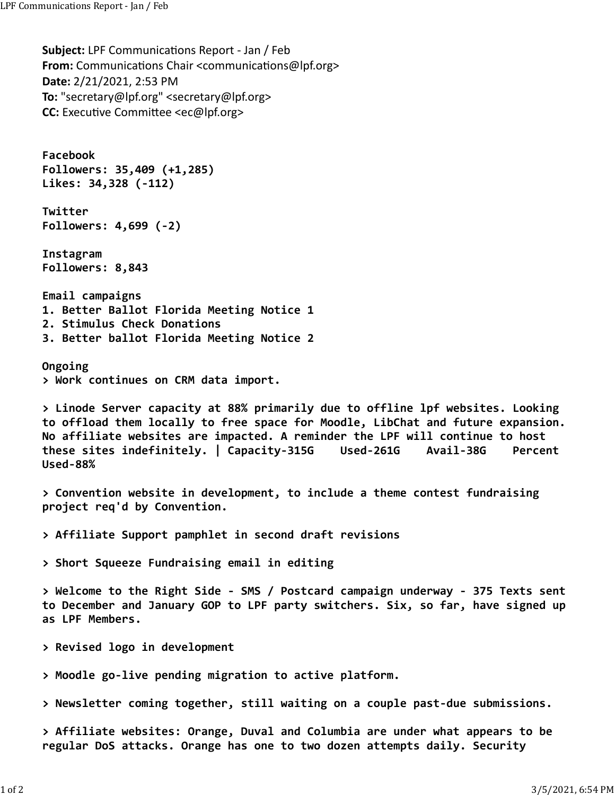**Subject:** LPF Communications Report - Jan / Feb **From:** Communications Chair <communications@lpf.org> **Date:** 2/21/2021, 2:53 PM **To:** "secretary@lpf.org" <secretary@lpf.org> **CC:** Executive Committee <ec@lpf.org>

**Facebook Followers: 35,409 (+1,285) Likes: 34,328 (‐112)**

**Twitter Followers: 4,699 (‐2)**

**Instagram Followers: 8,843**

**Email campaigns 1. Better Ballot Florida Meeting Notice 1 2. Stimulus Check Donations 3. Better ballot Florida Meeting Notice 2**

**Ongoing > Work continues on CRM data import.**

**> Linode Server capacity at 88% primarily due to offline lpf websites. Looking to offload them locally to free space for Moodle, LibChat and future expansion. No affiliate websites are impacted. A reminder the LPF will continue to host these sites indefinitely. | Capacity‐315G Used‐261G Avail‐38G Percent Used‐88%**

**> Convention website in development, to include a theme contest fundraising project req'd by Convention.**

**> Affiliate Support pamphlet in second draft revisions**

**> Short Squeeze Fundraising email in editing**

**> Welcome to the Right Side ‐ SMS / Postcard campaign underway ‐ 375 Texts sent to December and January GOP to LPF party switchers. Six, so far, have signed up as LPF Members.**

**> Revised logo in development**

**> Moodle go‐live pending migration to active platform.**

**> Newsletter coming together, still waiting on a couple past‐due submissions.**

**> Affiliate websites: Orange, Duval and Columbia are under what appears to be regular DoS attacks. Orange has one to two dozen attempts daily. Security**